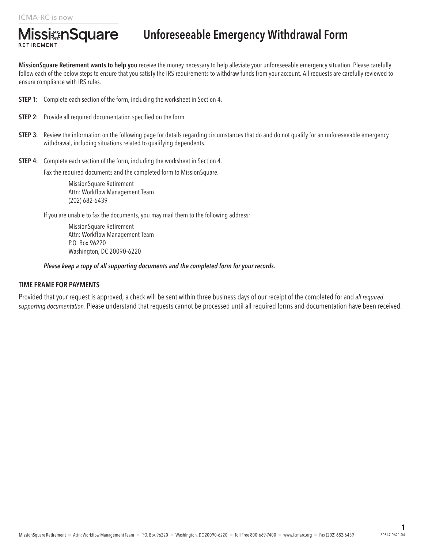RETIREMENT

**Missi**#nSquare

MissionSquare Retirement wants to help you receive the money necessary to help alleviate your unforeseeable emergency situation. Please carefully follow each of the below steps to ensure that you satisfy the IRS requirements to withdraw funds from your account. All requests are carefully reviewed to ensure compliance with IRS rules.

- **STEP 1:** Complete each section of the form, including the worksheet in Section 4.
- **STEP 2:** Provide all required documentation specified on the form.
- **STEP 3:** Review the information on the following page for details regarding circumstances that do and do not qualify for an unforeseeable emergency withdrawal, including situations related to qualifying dependents.
- **STEP 4:** Complete each section of the form, including the worksheet in Section 4.

Fax the required documents and the completed form to MissionSquare.

MissionSquare Retirement Attn: Workflow Management Team (202) 682-6439

If you are unable to fax the documents, you may mail them to the following address:

MissionSquare Retirement Attn: Workflow Management Team P.O. Box 96220 Washington, DC 20090-6220

#### *Please keep a copy of all supporting documents and the completed form for your records.*

#### TIME FRAME FOR PAYMENTS

Provided that your request is approved, a check will be sent within three business days of our receipt of the completed for and *all required supporting documentation.* Please understand that requests cannot be processed until all required forms and documentation have been received.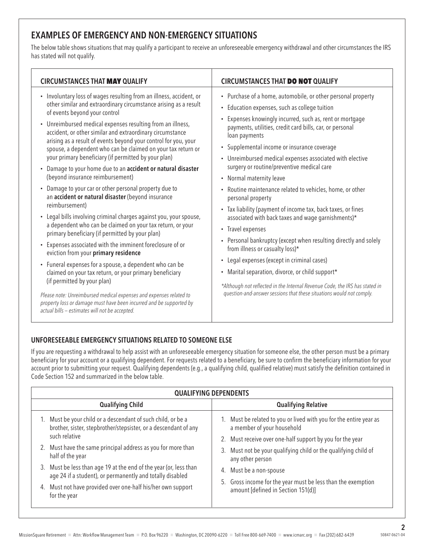# EXAMPLES OF EMERGENCY AND NON-EMERGENCY SITUATIONS

The below table shows situations that may qualify a participant to receive an unforeseeable emergency withdrawal and other circumstances the IRS has stated will not qualify.

| • Involuntary loss of wages resulting from an illness, accident, or<br>• Purchase of a home, automobile, or other personal property<br>other similar and extraordinary circumstance arising as a result<br>• Education expenses, such as college tuition<br>of events beyond your control<br>Expenses knowingly incurred, such as, rent or mortgage<br>٠<br>• Unreimbursed medical expenses resulting from an illness,<br>payments, utilities, credit card bills, car, or personal<br>accident, or other similar and extraordinary circumstance<br>loan payments<br>arising as a result of events beyond your control for you, your<br>Supplemental income or insurance coverage<br>$\bullet$<br>spouse, a dependent who can be claimed on your tax return or<br>your primary beneficiary (if permitted by your plan)<br>• Unreimbursed medical expenses associated with elective<br>surgery or routine/preventive medical care<br>Damage to your home due to an accident or natural disaster<br>$\bullet$<br>(beyond insurance reimbursement)<br>• Normal maternity leave<br>Damage to your car or other personal property due to<br>• Routine maintenance related to vehicles, home, or other<br>$\bullet$<br>an accident or natural disaster (beyond insurance<br>personal property<br>reimbursement)<br>• Tax liability (payment of income tax, back taxes, or fines<br>• Legal bills involving criminal charges against you, your spouse,<br>associated with back taxes and wage garnishments)*<br>a dependent who can be claimed on your tax return, or your<br>• Travel expenses<br>primary beneficiary (if permitted by your plan)<br>• Personal bankruptcy (except when resulting directly and solely<br>• Expenses associated with the imminent foreclosure of or<br>from illness or casualty loss)*<br>eviction from your primary residence<br>• Legal expenses (except in criminal cases)<br>• Funeral expenses for a spouse, a dependent who can be<br>• Marital separation, divorce, or child support*<br>claimed on your tax return, or your primary beneficiary<br>(if permitted by your plan)<br>*Although not reflected in the Internal Revenue Code, the IRS has stated in<br>question-and-answer sessions that these situations would not comply.<br>Please note: Unreimbursed medical expenses and expenses related to<br>property loss or damage must have been incurred and be supported by<br>actual bills - estimates will not be accepted. | <b>CIRCUMSTANCES THAT MAY QUALIFY</b> | <b>CIRCUMSTANCES THAT DO NOT QUALIFY</b> |
|----------------------------------------------------------------------------------------------------------------------------------------------------------------------------------------------------------------------------------------------------------------------------------------------------------------------------------------------------------------------------------------------------------------------------------------------------------------------------------------------------------------------------------------------------------------------------------------------------------------------------------------------------------------------------------------------------------------------------------------------------------------------------------------------------------------------------------------------------------------------------------------------------------------------------------------------------------------------------------------------------------------------------------------------------------------------------------------------------------------------------------------------------------------------------------------------------------------------------------------------------------------------------------------------------------------------------------------------------------------------------------------------------------------------------------------------------------------------------------------------------------------------------------------------------------------------------------------------------------------------------------------------------------------------------------------------------------------------------------------------------------------------------------------------------------------------------------------------------------------------------------------------------------------------------------------------------------------------------------------------------------------------------------------------------------------------------------------------------------------------------------------------------------------------------------------------------------------------------------------------------------------------------------------------------------------------------------------------------------------------------------------------------------------------------------------------------------------------|---------------------------------------|------------------------------------------|
|                                                                                                                                                                                                                                                                                                                                                                                                                                                                                                                                                                                                                                                                                                                                                                                                                                                                                                                                                                                                                                                                                                                                                                                                                                                                                                                                                                                                                                                                                                                                                                                                                                                                                                                                                                                                                                                                                                                                                                                                                                                                                                                                                                                                                                                                                                                                                                                                                                                                      |                                       |                                          |

## UNFORESEEABLE EMERGENCY SITUATIONS RELATED TO SOMEONE ELSE

If you are requesting a withdrawal to help assist with an unforeseeable emergency situation for someone else, the other person must be a primary beneficiary for your account or a qualifying dependent. For requests related to a beneficiary, be sure to confirm the beneficiary information for your account prior to submitting your request. Qualifying dependents (e.g., a qualifying child, qualified relative) must satisfy the definition contained in Code Section 152 and summarized in the below table.

|                                                                                                                                 | <b>QUALIFYING DEPENDENTS</b>                                                                                                   |                                                                                                    |  |  |  |  |  |  |  |
|---------------------------------------------------------------------------------------------------------------------------------|--------------------------------------------------------------------------------------------------------------------------------|----------------------------------------------------------------------------------------------------|--|--|--|--|--|--|--|
|                                                                                                                                 | <b>Qualifying Child</b>                                                                                                        | <b>Qualifying Relative</b>                                                                         |  |  |  |  |  |  |  |
| 1. Must be your child or a descendant of such child, or be a<br>brother, sister, stepbrother/stepsister, or a descendant of any | 1. Must be related to you or lived with you for the entire year as<br>a member of your household                               |                                                                                                    |  |  |  |  |  |  |  |
|                                                                                                                                 | such relative                                                                                                                  | 2. Must receive over one-half support by you for the year                                          |  |  |  |  |  |  |  |
|                                                                                                                                 | 2. Must have the same principal address as you for more than<br>half of the year                                               | 3. Must not be your qualifying child or the qualifying child of<br>any other person                |  |  |  |  |  |  |  |
|                                                                                                                                 | 3. Must be less than age 19 at the end of the year (or, less than<br>age 24 if a student), or permanently and totally disabled | 4. Must be a non-spouse                                                                            |  |  |  |  |  |  |  |
|                                                                                                                                 | 4. Must not have provided over one-half his/her own support<br>for the year                                                    | 5. Gross income for the year must be less than the exemption<br>amount [defined in Section 151(d)] |  |  |  |  |  |  |  |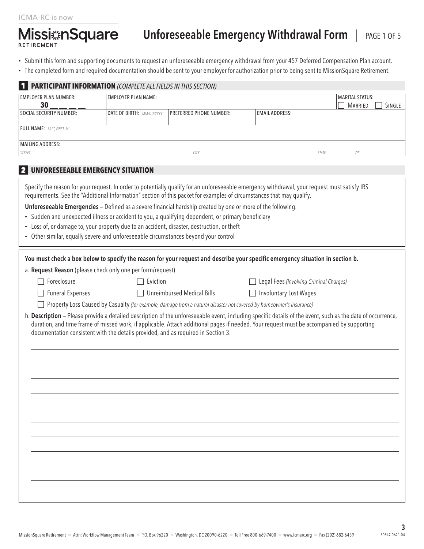**Missi nSquare** RETIREMENT

- Submit this form and supporting documents to request an unforeseeable emergency withdrawal from your 457 Deferred Compensation Plan account.
- The completed form and required documentation should be sent to your employer for authorization prior to being sent to MissionSquare Retirement.

|                                    | <b>PARTICIPANT INFORMATION</b> (COMPLETE ALL FIELDS IN THIS SECTION)                |                                                                                                                                                                                                                                                                        |                                         |                                                                                                                                                             |
|------------------------------------|-------------------------------------------------------------------------------------|------------------------------------------------------------------------------------------------------------------------------------------------------------------------------------------------------------------------------------------------------------------------|-----------------------------------------|-------------------------------------------------------------------------------------------------------------------------------------------------------------|
| <b>EMPLOYER PLAN NUMBER:</b><br>30 | <b>EMPLOYER PLAN NAME:</b>                                                          |                                                                                                                                                                                                                                                                        |                                         | <b>MARITAL STATUS:</b><br>SINGLE<br><b>MARRIED</b>                                                                                                          |
| <b>SOCIAL SECURITY NUMBER:</b>     | DATE OF BIRTH: MM/DD/YYYY                                                           | <b>PREFERRED PHONE NUMBER:</b>                                                                                                                                                                                                                                         | <b>EMAIL ADDRESS:</b>                   |                                                                                                                                                             |
| FULL NAME: LAST, FIRST, MI         |                                                                                     |                                                                                                                                                                                                                                                                        |                                         |                                                                                                                                                             |
| <b>MAILING ADDRESS:</b>            |                                                                                     |                                                                                                                                                                                                                                                                        |                                         |                                                                                                                                                             |
| STREET                             |                                                                                     | CITY                                                                                                                                                                                                                                                                   |                                         | ZIP<br>STATE                                                                                                                                                |
| <b>21</b>                          | UNFORESEEABLE EMERGENCY SITUATION                                                   |                                                                                                                                                                                                                                                                        |                                         |                                                                                                                                                             |
|                                    |                                                                                     | Specify the reason for your request. In order to potentially qualify for an unforeseeable emergency withdrawal, your request must satisfy IRS<br>requirements. See the "Additional Information" section of this packet for examples of circumstances that may qualify. |                                         |                                                                                                                                                             |
|                                    |                                                                                     | Unforeseeable Emergencies - Defined as a severe financial hardship created by one or more of the following:                                                                                                                                                            |                                         |                                                                                                                                                             |
|                                    |                                                                                     | • Sudden and unexpected illness or accident to you, a qualifying dependent, or primary beneficiary                                                                                                                                                                     |                                         |                                                                                                                                                             |
|                                    | • Other similar, equally severe and unforeseeable circumstances beyond your control | • Loss of, or damage to, your property due to an accident, disaster, destruction, or theft                                                                                                                                                                             |                                         |                                                                                                                                                             |
|                                    |                                                                                     |                                                                                                                                                                                                                                                                        |                                         |                                                                                                                                                             |
|                                    |                                                                                     | You must check a box below to specify the reason for your request and describe your specific emergency situation in section b.                                                                                                                                         |                                         |                                                                                                                                                             |
|                                    | a. Request Reason (please check only one per form/request)                          |                                                                                                                                                                                                                                                                        |                                         |                                                                                                                                                             |
| Foreclosure                        | Eviction                                                                            |                                                                                                                                                                                                                                                                        | Legal Fees (Involving Criminal Charges) |                                                                                                                                                             |
| <b>Funeral Expenses</b>            |                                                                                     | <b>Unreimbursed Medical Bills</b>                                                                                                                                                                                                                                      | <b>Involuntary Lost Wages</b>           |                                                                                                                                                             |
|                                    |                                                                                     | Property Loss Caused by Casualty (for example, damage from a natural disaster not covered by homeowner's insurance)                                                                                                                                                    |                                         |                                                                                                                                                             |
|                                    | documentation consistent with the details provided, and as required in Section 3.   | duration, and time frame of missed work, if applicable. Attach additional pages if needed. Your request must be accompanied by supporting                                                                                                                              |                                         | b. Description - Please provide a detailed description of the unforeseeable event, including specific details of the event, such as the date of occurrence, |
|                                    |                                                                                     |                                                                                                                                                                                                                                                                        |                                         |                                                                                                                                                             |
|                                    |                                                                                     |                                                                                                                                                                                                                                                                        |                                         |                                                                                                                                                             |
|                                    |                                                                                     |                                                                                                                                                                                                                                                                        |                                         |                                                                                                                                                             |
|                                    |                                                                                     |                                                                                                                                                                                                                                                                        |                                         |                                                                                                                                                             |
|                                    |                                                                                     |                                                                                                                                                                                                                                                                        |                                         |                                                                                                                                                             |
|                                    |                                                                                     |                                                                                                                                                                                                                                                                        |                                         |                                                                                                                                                             |
|                                    |                                                                                     |                                                                                                                                                                                                                                                                        |                                         |                                                                                                                                                             |
|                                    |                                                                                     |                                                                                                                                                                                                                                                                        |                                         |                                                                                                                                                             |
|                                    |                                                                                     |                                                                                                                                                                                                                                                                        |                                         |                                                                                                                                                             |
|                                    |                                                                                     |                                                                                                                                                                                                                                                                        |                                         |                                                                                                                                                             |
|                                    |                                                                                     |                                                                                                                                                                                                                                                                        |                                         |                                                                                                                                                             |
|                                    |                                                                                     |                                                                                                                                                                                                                                                                        |                                         |                                                                                                                                                             |
|                                    |                                                                                     |                                                                                                                                                                                                                                                                        |                                         |                                                                                                                                                             |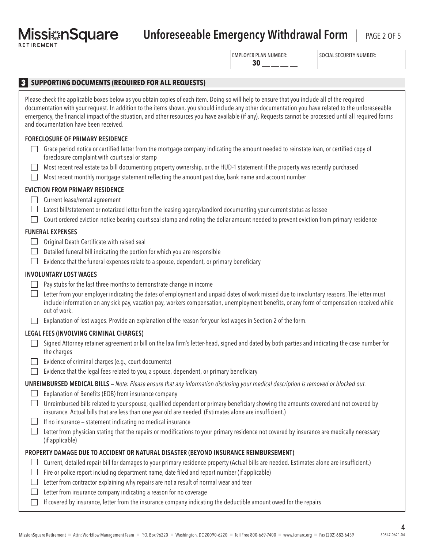# Missi: **nSquare** Unforeseeable Emergency Withdrawal Form | PAGE 2 OF 5

EMPLOYER PLAN NUMBER:

SOCIAL SECURITY NUMBER:

|                                                                                                                                                                                                                                                                                                                                                                                                                                                                                                        | 30<br>ر<br>د ساخت ساخت |  |
|--------------------------------------------------------------------------------------------------------------------------------------------------------------------------------------------------------------------------------------------------------------------------------------------------------------------------------------------------------------------------------------------------------------------------------------------------------------------------------------------------------|------------------------|--|
| 3 SUPPORTING DOCUMENTS (REQUIRED FOR ALL REQUESTS)                                                                                                                                                                                                                                                                                                                                                                                                                                                     |                        |  |
|                                                                                                                                                                                                                                                                                                                                                                                                                                                                                                        |                        |  |
| Please check the applicable boxes below as you obtain copies of each item. Doing so will help to ensure that you include all of the required<br>documentation with your request. In addition to the items shown, you should include any other documentation you have related to the unforeseeable<br>emergency, the financial impact of the situation, and other resources you have available (if any). Requests cannot be processed until all required forms<br>and documentation have been received. |                        |  |
| <b>FORECLOSURE OF PRIMARY RESIDENCE</b>                                                                                                                                                                                                                                                                                                                                                                                                                                                                |                        |  |
| Grace period notice or certified letter from the mortgage company indicating the amount needed to reinstate loan, or certified copy of<br>foreclosure complaint with court seal or stamp                                                                                                                                                                                                                                                                                                               |                        |  |
| Most recent real estate tax bill documenting property ownership, or the HUD-1 statement if the property was recently purchased<br>Most recent monthly mortgage statement reflecting the amount past due, bank name and account number                                                                                                                                                                                                                                                                  |                        |  |
| <b>EVICTION FROM PRIMARY RESIDENCE</b>                                                                                                                                                                                                                                                                                                                                                                                                                                                                 |                        |  |
| Current lease/rental agreement                                                                                                                                                                                                                                                                                                                                                                                                                                                                         |                        |  |
| Latest bill/statement or notarized letter from the leasing agency/landlord documenting your current status as lessee<br>Court ordered eviction notice bearing court seal stamp and noting the dollar amount needed to prevent eviction from primary residence                                                                                                                                                                                                                                          |                        |  |
| <b>FUNERAL EXPENSES</b>                                                                                                                                                                                                                                                                                                                                                                                                                                                                                |                        |  |
| Original Death Certificate with raised seal<br>$\mathbf{L}$                                                                                                                                                                                                                                                                                                                                                                                                                                            |                        |  |
| Detailed funeral bill indicating the portion for which you are responsible                                                                                                                                                                                                                                                                                                                                                                                                                             |                        |  |
| Evidence that the funeral expenses relate to a spouse, dependent, or primary beneficiary                                                                                                                                                                                                                                                                                                                                                                                                               |                        |  |
| <b>INVOLUNTARY LOST WAGES</b>                                                                                                                                                                                                                                                                                                                                                                                                                                                                          |                        |  |
| Pay stubs for the last three months to demonstrate change in income                                                                                                                                                                                                                                                                                                                                                                                                                                    |                        |  |
| Letter from your employer indicating the dates of employment and unpaid dates of work missed due to involuntary reasons. The letter must<br>include information on any sick pay, vacation pay, workers compensation, unemployment benefits, or any form of compensation received while<br>out of work.                                                                                                                                                                                                 |                        |  |
| Explanation of lost wages. Provide an explanation of the reason for your lost wages in Section 2 of the form.                                                                                                                                                                                                                                                                                                                                                                                          |                        |  |
| LEGAL FEES (INVOLVING CRIMINAL CHARGES)                                                                                                                                                                                                                                                                                                                                                                                                                                                                |                        |  |
| Signed Attorney retainer agreement or bill on the law firm's letter-head, signed and dated by both parties and indicating the case number for<br>the charges                                                                                                                                                                                                                                                                                                                                           |                        |  |
| Evidence of criminal charges (e.g., court documents)                                                                                                                                                                                                                                                                                                                                                                                                                                                   |                        |  |
| $\Box$ Evidence that the legal fees related to you, a spouse, dependent, or primary beneficiary                                                                                                                                                                                                                                                                                                                                                                                                        |                        |  |
| <b>UNREIMBURSED MEDICAL BILLS</b> - Note: Please ensure that any information disclosing your medical description is removed or blocked out.                                                                                                                                                                                                                                                                                                                                                            |                        |  |
| Explanation of Benefits (EOB) from insurance company                                                                                                                                                                                                                                                                                                                                                                                                                                                   |                        |  |
| Unreimbursed bills related to your spouse, qualified dependent or primary beneficiary showing the amounts covered and not covered by<br>insurance. Actual bills that are less than one year old are needed. (Estimates alone are insufficient.)                                                                                                                                                                                                                                                        |                        |  |
| If no insurance - statement indicating no medical insurance                                                                                                                                                                                                                                                                                                                                                                                                                                            |                        |  |
| Letter from physician stating that the repairs or modifications to your primary residence not covered by insurance are medically necessary<br>(if applicable)                                                                                                                                                                                                                                                                                                                                          |                        |  |
| PROPERTY DAMAGE DUE TO ACCIDENT OR NATURAL DISASTER (BEYOND INSURANCE REIMBURSEMENT)                                                                                                                                                                                                                                                                                                                                                                                                                   |                        |  |
| Current, detailed repair bill for damages to your primary residence property (Actual bills are needed. Estimates alone are insufficient.)                                                                                                                                                                                                                                                                                                                                                              |                        |  |
| Fire or police report including department name, date filed and report number (if applicable)                                                                                                                                                                                                                                                                                                                                                                                                          |                        |  |
| Letter from contractor explaining why repairs are not a result of normal wear and tear<br>Letter from insurance company indicating a reason for no coverage                                                                                                                                                                                                                                                                                                                                            |                        |  |
|                                                                                                                                                                                                                                                                                                                                                                                                                                                                                                        |                        |  |

 $\Box$  If covered by insurance, letter from the insurance company indicating the deductible amount owed for the repairs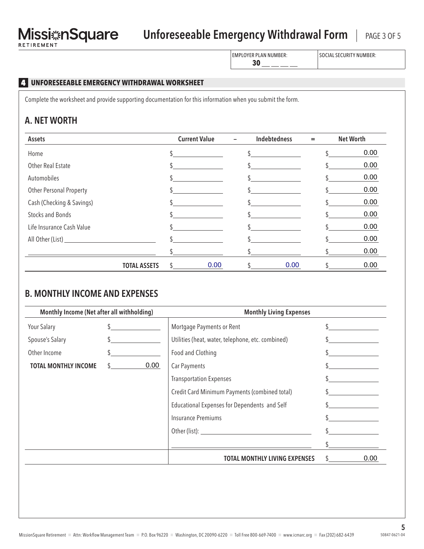# Missi: nSquare Unforeseeable Emergency Withdrawal Form | PAGE 3 OF 5

EMPLOYER PLAN NUMBER:  $30 - -$ 

SOCIAL SECURITY NUMBER:

## 4 **UNFORESEEABLE EMERGENCY WITHDRAWAL WORKSHEET**

Complete the worksheet and provide supporting documentation for this information when you submit the form.

# A. NET WORTH

| Assets                    | <b>Current Value</b> | Indebtedness<br>$\overline{\phantom{0}}$ | <b>Net Worth</b><br>$=$ |
|---------------------------|----------------------|------------------------------------------|-------------------------|
| Home                      |                      |                                          | 0.00                    |
| Other Real Estate         |                      |                                          | 0.00                    |
| Automobiles               |                      |                                          | 0.00                    |
| Other Personal Property   |                      |                                          | 0.00                    |
| Cash (Checking & Savings) |                      |                                          | 0.00                    |
| <b>Stocks and Bonds</b>   |                      |                                          | 0.00                    |
| Life Insurance Cash Value |                      |                                          | 0.00                    |
|                           |                      |                                          | 0.00                    |
|                           |                      |                                          | 0.00                    |
| <b>TOTAL ASSETS</b>       | 0.00                 | 0.00                                     | 0.00                    |

# B. MONTHLY INCOME AND EXPENSES

| Monthly Income (Net after all withholding) |      | <b>Monthly Living Expenses</b>                    |               |      |  |  |
|--------------------------------------------|------|---------------------------------------------------|---------------|------|--|--|
| Your Salary                                |      | Mortgage Payments or Rent                         |               |      |  |  |
| Spouse's Salary                            |      | Utilities (heat, water, telephone, etc. combined) |               |      |  |  |
| Other Income                               |      | Food and Clothing                                 |               |      |  |  |
| <b>TOTAL MONTHLY INCOME</b>                | 0.00 | Car Payments                                      |               |      |  |  |
|                                            |      | <b>Transportation Expenses</b>                    |               |      |  |  |
|                                            |      | Credit Card Minimum Payments (combined total)     |               |      |  |  |
|                                            |      | Educational Expenses for Dependents and Self      |               |      |  |  |
|                                            |      | <b>Insurance Premiums</b>                         |               |      |  |  |
|                                            |      |                                                   |               |      |  |  |
|                                            |      |                                                   |               |      |  |  |
|                                            |      | TOTAL MONTHLY LIVING EXPENSES                     | $\mathcal{S}$ | 0.00 |  |  |
|                                            |      |                                                   |               |      |  |  |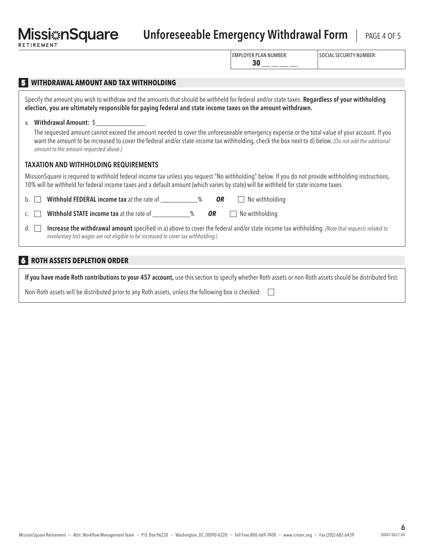# Unforeseeable Emergency Withdrawal Form | PAGE 4 OF 5

EMPLOYER PLAN NUMBER:  $30$  — — –

SOCIAL SECURITY NUMBER:

| <b>WITHDRAWAL AMOUNT AND TAX WITHHOLDING</b><br>Specify the amount you wish to withdraw and the amounts that should be withheld for federal and/or state taxes. Regardless of your withholding<br>election, you are ultimately responsible for paying federal and state income taxes on the amount withdrawn. |
|---------------------------------------------------------------------------------------------------------------------------------------------------------------------------------------------------------------------------------------------------------------------------------------------------------------|
| Withdrawal Amount: \$<br>a.<br>The requested amount cannot exceed the amount needed to cover the unforeseeable emergency expense or the total value of your account. If you                                                                                                                                   |
| want the amount to be increased to cover the federal and/or state income tax withholding, check the box next to d) below. (Do not add the additional<br>amount to the amount requested above.)                                                                                                                |
| <b>TAXATION AND WITHHOLDING REQUIREMENTS</b>                                                                                                                                                                                                                                                                  |
| MissionSquare is required to withhold federal income tax unless you request "No withholding" below. If you do not provide withholding instructions,<br>10% will be withheld for federal income taxes and a default amount (which varies by state) will be withheld for state income taxes.                    |
| <b>Withhold FEDERAL income tax</b> at the rate of ______________%<br>No withholding<br>0R<br>$b_{1}$                                                                                                                                                                                                          |
| Withhold STATE income tax at the rate of ____________%<br>OR<br>No withholding                                                                                                                                                                                                                                |
| Increase the withdrawal amount specified in a) above to cover the federal and/or state income tax withholding. (Note that requests related to<br>d.<br>involuntary lost wages are not eligible to be increased to cover tax withholding.)                                                                     |
|                                                                                                                                                                                                                                                                                                               |

#### 6 **ROTH ASSETS DEPLETION ORDER**

If you have made Roth contributions to your 457 account, use this section to specify whether Roth assets or non-Roth assets should be distributed first.

Non-Roth assets will be distributed prior to any Roth assets, unless the following box is checked:  $\Box$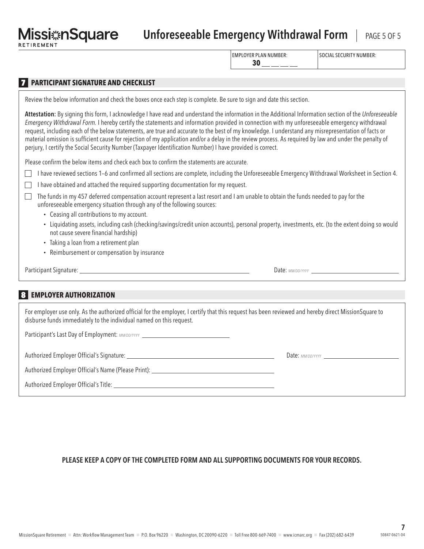# Unforeseeable Emergency Withdrawal Form | PAGE 5 OF 5

EMPLOYER PLAN NUMBER:

SOCIAL SECURITY NUMBER:

| - |  |  |  |
|---|--|--|--|
|   |  |  |  |

### **7 PARTICIPANT SIGNATURE AND CHECKLIST**

|  |  | Review the below information and check the boxes once each step is complete. Be sure to sign and date this section. |  |
|--|--|---------------------------------------------------------------------------------------------------------------------|--|

Attestation: By signing this form, I acknowledge I have read and understand the information in the Additional Information section of the *Unforeseeable Emergency Withdrawal Form.* I hereby certify the statements and information provided in connection with my unforeseeable emergency withdrawal request, including each of the below statements, are true and accurate to the best of my knowledge. I understand any misrepresentation of facts or material omission is sufficient cause for rejection of my application and/or a delay in the review process. As required by law and under the penalty of perjury, I certify the Social Security Number (Taxpayer Identification Number) I have provided is correct.

Please confirm the below items and check each box to confirm the statements are accurate.

 $\Box$  I have reviewed sections 1–6 and confirmed all sections are complete, including the Unforeseeable Emergency Withdrawal Worksheet in Section 4.

| □ I have obtained and attached the required supporting documentation for my request. |  |  |  |  |  |
|--------------------------------------------------------------------------------------|--|--|--|--|--|
|                                                                                      |  |  |  |  |  |

- The funds in my 457 deferred compensation account represent a last resort and I am unable to obtain the funds needed to pay for the unforeseeable emergency situation through any of the following sources:
	- Ceasing all contributions to my account.
	- Liquidating assets, including cash (checking/savings/credit union accounts), personal property, investments, etc. (to the extent doing so would not cause severe financial hardship)
	- Taking a loan from a retirement plan
	- Reimbursement or compensation by insurance

Participant Signature: <u>Date:</u> MM/DD/YYYY **Date:** MM/DD/YYYY

#### 8 **EMPLOYER AUTHORIZATION**

For employer use only. As the authorized official for the employer, I certify that this request has been reviewed and hereby direct MissionSquare to disburse funds immediately to the individual named on this request.

Participant's Last Day of Employment: *MM/DD/YYYY* \_\_\_\_\_\_\_\_\_\_\_\_\_\_\_\_\_\_\_\_\_\_\_\_\_\_\_\_\_\_

Authorized Employer Official's Signature: Date: *MM/DD/YYYY*

Authorized Employer Official's Name (Please Print):

Authorized Employer Official's Title:

## PLEASE KEEP A COPY OF THE COMPLETED FORM AND ALL SUPPORTING DOCUMENTS FOR YOUR RECORDS.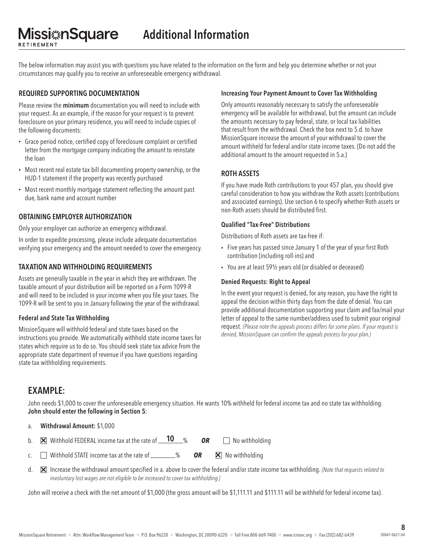The below information may assist you with questions you have related to the information on the form and help you determine whether or not your circumstances may qualify you to receive an unforeseeable emergency withdrawal.

#### REQUIRED SUPPORTING DOCUMENTATION

**Missi**#nSquare

RETIREMENT

Please review the minimum documentation you will need to include with your request. As an example, if the reason for your request is to prevent foreclosure on your primary residence, you will need to include copies of the following documents:

- Grace period notice, certified copy of foreclosure complaint or certified letter from the mortgage company indicating the amount to reinstate the loan
- Most recent real estate tax bill documenting property ownership, or the HUD-1 statement if the property was recently purchased
- Most recent monthly mortgage statement reflecting the amount past due, bank name and account number

#### OBTAINING EMPLOYER AUTHORIZATION

Only your employer can authorize an emergency withdrawal.

In order to expedite processing, please include adequate documentation verifying your emergency and the amount needed to cover the emergency.

#### TAXATION AND WITHHOLDING REQUIREMENTS

Assets are generally taxable in the year in which they are withdrawn. The taxable amount of your distribution will be reported on a Form 1099-R and will need to be included in your income when you file your taxes. The 1099-R will be sent to you in January following the year of the withdrawal.

#### Federal and State Tax Withholding

MissionSquare will withhold federal and state taxes based on the instructions you provide. We automatically withhold state income taxes for states which require us to do so. You should seek state tax advice from the appropriate state department of revenue if you have questions regarding state tax withholding requirements.

#### Increasing Your Payment Amount to Cover Tax Withholding

Only amounts reasonably necessary to satisfy the unforeseeable emergency will be available for withdrawal, but the amount can include the amounts necessary to pay federal, state, or local tax liabilities that result from the withdrawal. Check the box next to 5.d. to have MissionSquare increase the amount of your withdrawal to cover the amount withheld for federal and/or state income taxes. (Do not add the additional amount to the amount requested in 5.a.)

#### ROTH ASSETS

If you have made Roth contributions to your 457 plan, you should give careful consideration to how you withdraw the Roth assets (contributions and associated earnings). Use section 6 to specify whether Roth assets or non-Roth assets should be distributed first.

#### Qualified "Tax-Free" Distributions

Distributions of Roth assets are tax-free if:

- Five years has passed since January 1 of the year of your first Roth contribution (including roll-ins) and
- You are at least 59½ years old (or disabled or deceased)

#### Denied Requests: Right to Appeal

In the event your request is denied, for any reason, you have the right to appeal the decision within thirty days from the date of denial. You can provide additional documentation supporting your claim and fax/mail your letter of appeal to the same number/address used to submit your original request. *(Please note the appeals process differs for some plans. If your request is denied, MissionSquare can confirm the appeals process for your plan.)*

## EXAMPLE:

John needs \$1,000 to cover the unforeseeable emergency situation. He wants 10% withheld for federal income tax and no state tax withholding. John should enter the following in Section 5:

a. Withdrawal Amount: \$1,000

- b. Withhold FEDERAL income tax at the rate of % *OR* No withholding 10 ×
- c.  $\Box$  Withhold STATE income tax at the rate of  $\Box$  % **OR**  $\mathbf{\nabla}$  No withholding
- d. Increase the withdrawal amount specified in a. above to cover the federal and/or state income tax withholding. *(Note that requests related to*  × *involuntary lost wages are not eligible to be increased to cover tax withholding.)*

John will receive a check with the net amount of \$1,000 (the gross amount will be \$1,111.11 and \$111.11 will be withheld for federal income tax).